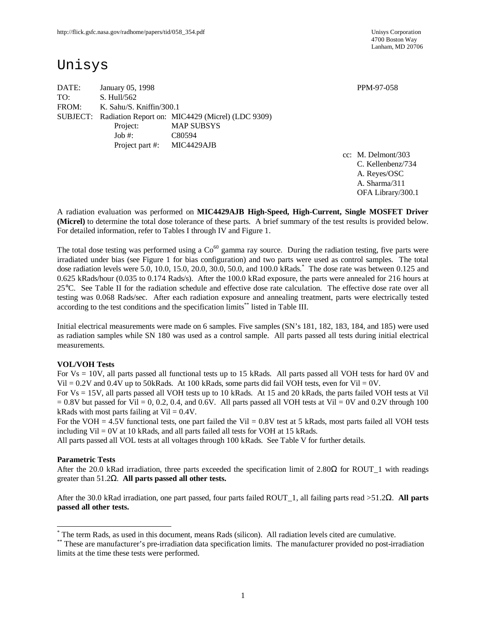4700 Boston Way Lanham, MD 20706

# Unisys

DATE: January 05, 1998 **PPM-97-058** TO: S. Hull/562 FROM: K. Sahu/S. Kniffin/300.1 SUBJECT: Radiation Report on: MIC4429 (Micrel) (LDC 9309) Project: MAP SUBSYS Job #: C80594 Project part #: MIC4429AJB

cc: M. Delmont/303 C. Kellenbenz/734 A. Reyes/OSC A. Sharma/311

OFA Library/300.1

A radiation evaluation was performed on **MIC4429AJB High-Speed, High-Current, Single MOSFET Driver (Micrel)** to determine the total dose tolerance of these parts. A brief summary of the test results is provided below. For detailed information, refer to Tables I through IV and Figure 1.

The total dose testing was performed using a  $Co<sup>60</sup>$  gamma ray source. During the radiation testing, five parts were irradiated under bias (see Figure 1 for bias configuration) and two parts were used as control samples. The total dose radiation levels were 5.0, 10.0, 15.0, 20.0, 30.0, 50.0, and 100.0 kRads. \* The dose rate was between 0.125 and 0.625 kRads/hour (0.035 to 0.174 Rads/s). After the 100.0 kRad exposure, the parts were annealed for 216 hours at 25°C. See Table II for the radiation schedule and effective dose rate calculation. The effective dose rate over all testing was 0.068 Rads/sec. After each radiation exposure and annealing treatment, parts were electrically tested according to the test conditions and the specification limits\*\* listed in Table III.

Initial electrical measurements were made on 6 samples. Five samples (SN's 181, 182, 183, 184, and 185) were used as radiation samples while SN 180 was used as a control sample. All parts passed all tests during initial electrical measurements.

#### **VOL/VOH Tests**

For Vs = 10V, all parts passed all functional tests up to 15 kRads. All parts passed all VOH tests for hard 0V and Vil  $= 0.2V$  and 0.4V up to 50kRads. At 100 kRads, some parts did fail VOH tests, even for Vil  $= 0V$ .

For Vs = 15V, all parts passed all VOH tests up to 10 kRads. At 15 and 20 kRads, the parts failed VOH tests at Vil  $= 0.8V$  but passed for Vil  $= 0$ , 0.2, 0.4, and 0.6V. All parts passed all VOH tests at Vil  $= 0V$  and 0.2V through 100 kRads with most parts failing at  $Vi = 0.4V$ .

For the VOH = 4.5V functional tests, one part failed the Vil = 0.8V test at 5 kRads, most parts failed all VOH tests including Vil  $= 0V$  at 10 kRads, and all parts failed all tests for VOH at 15 kRads.

All parts passed all VOL tests at all voltages through 100 kRads. See Table V for further details.

#### **Parametric Tests**

 $\overline{a}$ 

After the 20.0 kRad irradiation, three parts exceeded the specification limit of 2.80 $\Omega$  for ROUT 1 with readings greater than 51.2Ω. **All parts passed all other tests.**

After the 30.0 kRad irradiation, one part passed, four parts failed ROUT\_1, all failing parts read >51.2Ω. **All parts passed all other tests.**

<sup>\*</sup> The term Rads, as used in this document, means Rads (silicon). All radiation levels cited are cumulative.

<sup>\*\*</sup> These are manufacturer's pre-irradiation data specification limits. The manufacturer provided no post-irradiation limits at the time these tests were performed.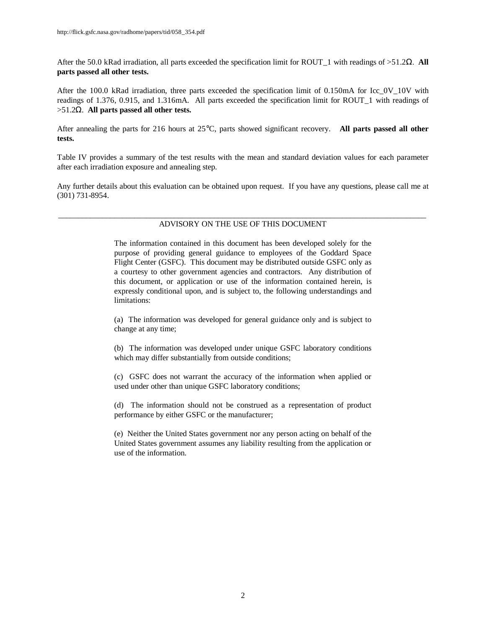After the 50.0 kRad irradiation, all parts exceeded the specification limit for ROUT\_1 with readings of >51.2Ω. **All parts passed all other tests.**

After the 100.0 kRad irradiation, three parts exceeded the specification limit of 0.150mA for Icc\_0V\_10V with readings of 1.376, 0.915, and 1.316mA. All parts exceeded the specification limit for ROUT\_1 with readings of >51.2Ω. **All parts passed all other tests.**

After annealing the parts for 216 hours at 25°C, parts showed significant recovery. **All parts passed all other tests.**

Table IV provides a summary of the test results with the mean and standard deviation values for each parameter after each irradiation exposure and annealing step.

Any further details about this evaluation can be obtained upon request. If you have any questions, please call me at (301) 731-8954.

#### \_\_\_\_\_\_\_\_\_\_\_\_\_\_\_\_\_\_\_\_\_\_\_\_\_\_\_\_\_\_\_\_\_\_\_\_\_\_\_\_\_\_\_\_\_\_\_\_\_\_\_\_\_\_\_\_\_\_\_\_\_\_\_\_\_\_\_\_\_\_\_\_\_\_\_\_\_\_\_\_\_\_\_\_\_\_\_\_\_\_\_\_ ADVISORY ON THE USE OF THIS DOCUMENT

The information contained in this document has been developed solely for the purpose of providing general guidance to employees of the Goddard Space Flight Center (GSFC). This document may be distributed outside GSFC only as a courtesy to other government agencies and contractors. Any distribution of this document, or application or use of the information contained herein, is expressly conditional upon, and is subject to, the following understandings and limitations:

(a) The information was developed for general guidance only and is subject to change at any time;

(b) The information was developed under unique GSFC laboratory conditions which may differ substantially from outside conditions;

(c) GSFC does not warrant the accuracy of the information when applied or used under other than unique GSFC laboratory conditions;

(d) The information should not be construed as a representation of product performance by either GSFC or the manufacturer;

(e) Neither the United States government nor any person acting on behalf of the United States government assumes any liability resulting from the application or use of the information.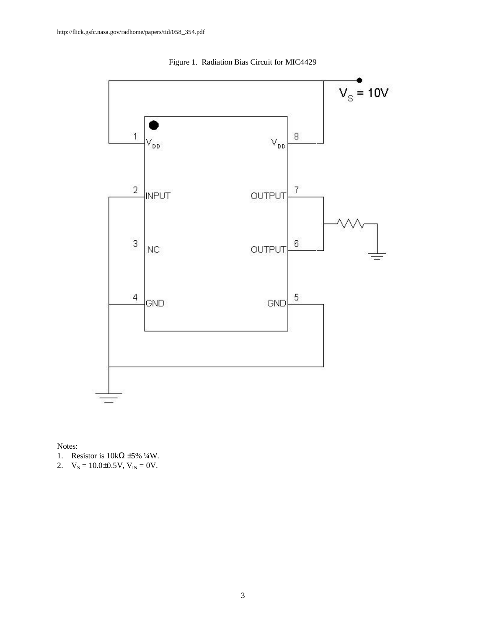

Figure 1. Radiation Bias Circuit for MIC4429

Notes:

1. Resistor is  $10k\Omega \pm 5\% 1/4W$ .

2.  $V_s = 10.0 \pm 0.5 V, V_{IN} = 0 V.$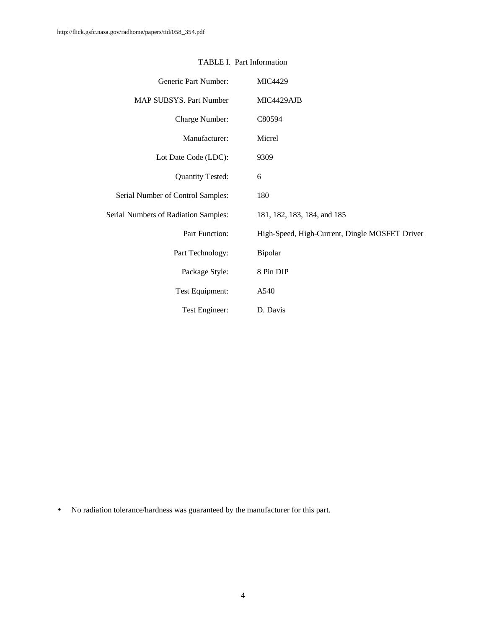| Generic Part Number:                 | <b>MIC4429</b>                                 |
|--------------------------------------|------------------------------------------------|
| MAP SUBSYS. Part Number              | MIC4429AJB                                     |
| Charge Number:                       | C80594                                         |
| Manufacturer:                        | Micrel                                         |
| Lot Date Code (LDC):                 | 9309                                           |
| <b>Quantity Tested:</b>              | 6                                              |
| Serial Number of Control Samples:    | 180                                            |
| Serial Numbers of Radiation Samples: | 181, 182, 183, 184, and 185                    |
| Part Function:                       | High-Speed, High-Current, Dingle MOSFET Driver |
| Part Technology:                     | Bipolar                                        |
| Package Style:                       | 8 Pin DIP                                      |
| Test Equipment:                      | A540                                           |
| Test Engineer:                       | D. Davis                                       |

## TABLE I. Part Information

• No radiation tolerance/hardness was guaranteed by the manufacturer for this part.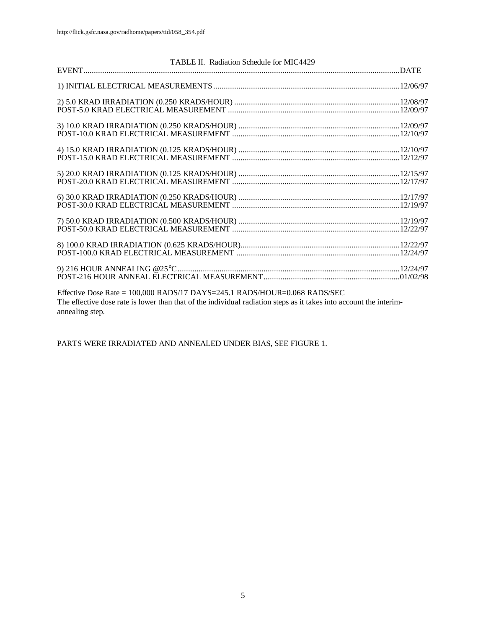|                 |                                                                           | TABLE II. Radiation Schedule for MIC4429 |                                                                                                                    |  |
|-----------------|---------------------------------------------------------------------------|------------------------------------------|--------------------------------------------------------------------------------------------------------------------|--|
|                 |                                                                           |                                          |                                                                                                                    |  |
|                 |                                                                           |                                          |                                                                                                                    |  |
|                 |                                                                           |                                          |                                                                                                                    |  |
|                 |                                                                           |                                          |                                                                                                                    |  |
|                 |                                                                           |                                          |                                                                                                                    |  |
|                 |                                                                           |                                          |                                                                                                                    |  |
|                 |                                                                           |                                          |                                                                                                                    |  |
|                 |                                                                           |                                          |                                                                                                                    |  |
|                 |                                                                           |                                          |                                                                                                                    |  |
|                 |                                                                           |                                          |                                                                                                                    |  |
| annealing step. | Effective Dose Rate = 100,000 RADS/17 DAYS=245.1 RADS/HOUR=0.068 RADS/SEC |                                          | The effective dose rate is lower than that of the individual radiation steps as it takes into account the interim- |  |

PARTS WERE IRRADIATED AND ANNEALED UNDER BIAS, SEE FIGURE 1.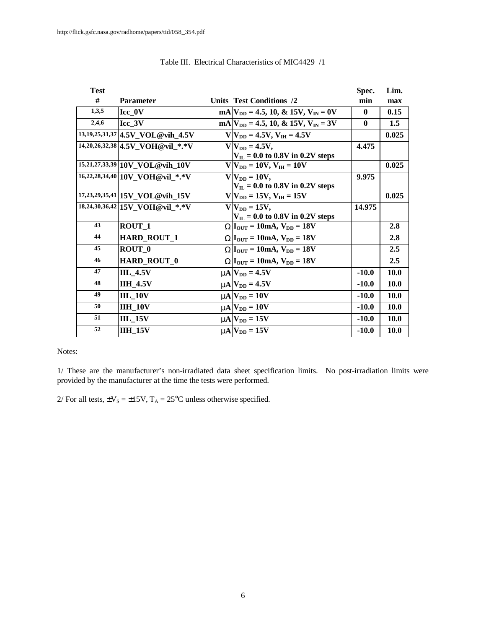| <b>Test</b> |                                      |                                               | Spec.        | Lim.        |
|-------------|--------------------------------------|-----------------------------------------------|--------------|-------------|
| #           | <b>Parameter</b>                     | Units Test Conditions /2                      | min          | max         |
| 1,3,5       | $Icc_0$                              | $mA V_{DD} = 4.5, 10, \& 15V, V_{IN} = 0V$    | $\mathbf{0}$ | 0.15        |
| 2,4,6       | Icc 3V                               | $mA V_{DD} = 4.5, 10, \& 15V, V_{IN} = 3V$    | $\mathbf{0}$ | 1.5         |
|             | $13,19,25,31,37$ 4.5V VOL @ vih 4.5V | $V V_{DD} = 4.5V, V_{IH} = 4.5V$              |              | 0.025       |
|             | 14,20,26,32,38 4.5V VOH@vil *.*V     | $V V_{DD} = 4.5V$ ,                           | 4.475        |             |
|             |                                      | $V_{\text{IL}}$ = 0.0 to 0.8V in 0.2V steps   |              |             |
|             | 15,21,27,33,39 10V_VOL@vih_10V       | $V V_{DD} = 10V, V_{IH} = 10V$                |              | 0.025       |
|             | 16,22,28,34,40 10V_VOH@vil_*.*V      | $V V_{DD} = 10V$ ,                            | 9.975        |             |
|             |                                      | $V_{IL}$ = 0.0 to 0.8V in 0.2V steps          |              |             |
|             | 17,23,29,35,41 15V VOL@vih 15V       | $V V_{DD} = 15V, V_{IH} = 15V$                |              | 0.025       |
|             | 18,24,30,36,42 15V_VOH@vil_*.*V      | $V V_{DD} = 15V,$                             | 14.975       |             |
|             |                                      | $V_{\text{IL}}$ = 0.0 to 0.8V in 0.2V steps   |              |             |
| 43          | ROUT <sub>1</sub>                    | $WI_{\text{OUT}} = 10mA, V_{\text{DD}} = 18V$ |              | 2.8         |
| 44          | <b>HARD ROUT 1</b>                   | $WIOUT = 10mA, VDD = 18V$                     |              | 2.8         |
| 45          | ROUT_0                               | $WIOUT = 10mA, VDD = 18V$                     |              | 2.5         |
| 46          | <b>HARD ROUT 0</b>                   | $WIOUT = 10mA, VDD = 18V$                     |              | 2.5         |
| 47          | <b>IIL_4.5V</b>                      | $mN_{DD} = 4.5V$                              | $-10.0$      | 10.0        |
| 48          | <b>IIH 4.5V</b>                      | $mA$ $V_{DD} = 4.5V$                          | $-10.0$      | <b>10.0</b> |
| 49          | <b>IIL 10V</b>                       | $mN_{DD} = 10V$                               | $-10.0$      | 10.0        |
| 50          | <b>IIH 10V</b>                       | $mN_{DD} = 10V$                               | $-10.0$      | 10.0        |
| 51          | <b>IIL 15V</b>                       | $mA$ $V_{DD} = 15V$                           | $-10.0$      | 10.0        |
| 52          | <b>IIH 15V</b>                       | $mA$ $V_{DD} = 15V$                           | $-10.0$      | 10.0        |

## Table III. Electrical Characteristics of MIC4429 /1

Notes:

1/ These are the manufacturer's non-irradiated data sheet specification limits. No post-irradiation limits were provided by the manufacturer at the time the tests were performed.

2/ For all tests,  $\pm V_s = \pm 15V$ ,  $T_A = 25^{\circ}$ C unless otherwise specified.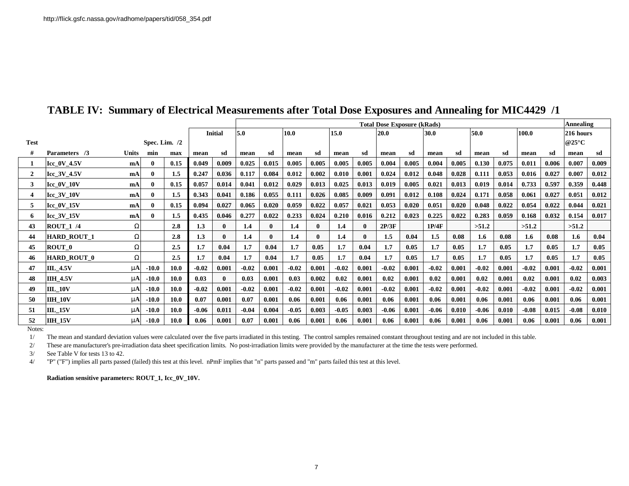|             |                    |              |                 |             |         |                | <b>Total Dose Exposure (kRads)</b> |              |         |       |         |       |         |       |         | Annealing |         |       |         |       |               |       |
|-------------|--------------------|--------------|-----------------|-------------|---------|----------------|------------------------------------|--------------|---------|-------|---------|-------|---------|-------|---------|-----------|---------|-------|---------|-------|---------------|-------|
|             |                    |              |                 |             |         | <b>Initial</b> | 5.0                                |              | 10.0    |       | 15.0    |       | 20.0    |       | 30.0    |           | 50.0    |       | 100.0   |       | 216 hours     |       |
| <b>Test</b> |                    |              | Spec. Lim. $/2$ |             |         |                |                                    |              |         |       |         |       |         |       |         |           |         |       |         |       | $@25^\circ C$ |       |
|             | Parameters /3      | <b>Units</b> | min             | max         | mean    | sd             | mean                               | sd           | mean    | sd    | mean    | sd    | mean    | sd    | mean    | sd        | mean    | sd    | mean    | sd    | mean          | sd    |
|             | Icc_0V_4.5V        | mA           |                 | 0.15        | 0.049   | 0.009          | 0.025                              | 0.015        | 0.005   | 0.005 | 0.005   | 0.005 | 0.004   | 0.005 | 0.004   | 0.005     | 0.130   | 0.075 | 0.011   | 0.006 | 0.007         | 0.009 |
| 2           | Icc 3V 4.5V        | mA           | 0               | 1.5         | 0.247   | 0.036          | 0.117                              | 0.084        | 0.012   | 0.002 | 0.010   | 0.001 | 0.024   | 0.012 | 0.048   | 0.028     | 0.111   | 0.053 | 0.016   | 0.027 | 0.007         | 0.012 |
| 3           | $Icc_0V_10V$       | mA           |                 | 0.15        | 0.057   | 0.014          | 0.041                              | 0.012        | 0.029   | 0.013 | 0.025   | 0.013 | 0.019   | 0.005 | 0.021   | 0.013     | 0.019   | 0.014 | 0.733   | 0.597 | 0.359         | 0.448 |
| 4           | $Icc_3V_10V$       | mA           | O.              | 1.5         | 0.343   | 0.041          | 0.186                              | 0.055        | 0.111   | 0.026 | 0.085   | 0.009 | 0.091   | 0.012 | 0.108   | 0.024     | 0.171   | 0.058 | 0.061   | 0.027 | 0.051         | 0.012 |
| 5           | $Icc_0V_15V$       | mA           |                 | 0.15        | 0.094   | 0.027          | 0.065                              | 0.020        | 0.059   | 0.022 | 0.057   | 0.021 | 0.053   | 0.020 | 0.051   | 0.020     | 0.048   | 0.022 | 0.054   | 0.022 | 0.044         | 0.021 |
| 6           | Icc_3V_15V         | mA           |                 | 1.5         | 0.435   | 0.046          | 0.277                              | 0.022        | 0.233   | 0.024 | 0.210   | 0.016 | 0.212   | 0.023 | 0.225   | 0.022     | 0.283   | 0.059 | 0.168   | 0.032 | 0.154         | 0.017 |
| 43          | <b>ROUT 1 /4</b>   | W            |                 | 2.8         | 1.3     | 0              | 1.4                                | $\mathbf{u}$ | 1.4     |       | 1.4     |       | 2P/3F   |       | 1P/4F   |           | >51.2   |       | >51.2   |       | >51.2         |       |
| 44          | <b>HARD ROUT 1</b> | W            |                 | 2.8         | 1.3     | 0              | 1.4                                | 0            | 1.4     |       | 1.4     |       | 1.5     | 0.04  | 1.5     | 0.08      | 1.6     | 0.08  | 1.6     | 0.08  | 1.6           | 0.04  |
| 45          | ROUT 0             | W            |                 | 2.5         | 1.7     | 0.04           | 1.7                                | 0.04         | 1.7     | 0.05  | 1.7     | 0.04  | 1.7     | 0.05  | 1.7     | 0.05      | 1.7     | 0.05  | 1.7     | 0.05  | 1.7           | 0.05  |
| 46          | <b>HARD ROUT 0</b> | W            |                 | 2.5         | 1.7     | 0.04           | 1.7                                | 0.04         | 1.7     | 0.05  | 1.7     | 0.04  | 1.7     | 0.05  | 1.7     | 0.05      | 1.7     | 0.05  | 1.7     | 0.05  | 1.7           | 0.05  |
| 47          | <b>IIL 4.5V</b>    | m            | $-10.0$         | 10.0        | $-0.02$ | 0.001          | $-0.02$                            | 0.001        | $-0.02$ | 0.001 | $-0.02$ | 0.001 | $-0.02$ | 0.001 | $-0.02$ | 0.001     | $-0.02$ | 0.001 | $-0.02$ | 0.001 | $-0.02$       | 0.001 |
| 48          | <b>IIH 4.5V</b>    | mA           | $-10.0$         | <b>10.0</b> | 0.03    | $\mathbf{0}$   | 0.03                               | 0.001        | 0.03    | 0.002 | 0.02    | 0.001 | 0.02    | 0.001 | 0.02    | 0.001     | 0.02    | 0.001 | 0.02    | 0.001 | 0.02          | 0.003 |
| 49          | <b>IIL 10V</b>     | mA           | $-10.0$         | <b>10.0</b> | $-0.02$ | 0.001          | $-0.02$                            | 0.001        | $-0.02$ | 0.001 | $-0.02$ | 0.001 | $-0.02$ | 0.001 | $-0.02$ | 0.001     | $-0.02$ | 0.001 | $-0.02$ | 0.001 | $-0.02$       | 0.001 |
| 50          | <b>IIH 10V</b>     | mA           | $-10.0$         | 10.0        | 0.07    | 0.001          | 0.07                               | 0.001        | 0.06    | 0.001 | 0.06    | 0.001 | 0.06    | 0.001 | 0.06    | 0.001     | 0.06    | 0.001 | 0.06    | 0.001 | 0.06          | 0.001 |
| 51          | <b>IIL 15V</b>     | mA           | $-10.0$         | <b>10.0</b> | $-0.06$ | 0.011          | $-0.04$                            | 0.004        | $-0.05$ | 0.003 | $-0.05$ | 0.003 | $-0.06$ | 0.001 | $-0.06$ | 0.010     | $-0.06$ | 0.010 | $-0.08$ | 0.015 | $-0.08$       | 0.010 |
| 52          | <b>IIH 15V</b>     | mA           | $-10.0$         | 10.0        | 0.06    | 0.001          | 0.07                               | 0.001        | 0.06    | 0.001 | 0.06    | 0.001 | 0.06    | 0.001 | 0.06    | 0.001     | 0.06    | 0.001 | 0.06    | 0.001 | 0.06          | 0.001 |

## **TABLE IV: Summary of Electrical Measurements after Total Dose Exposures and Annealing for MIC4429 /1**

Notes:

1/ The mean and standard deviation values were calculated over the five parts irradiated in this testing. The control samples remained constant throughout testing and are not included in this table.

2/ These are manufacturer's pre-irradiation data sheet specification limits. No post-irradiation limits were provided by the manufacturer at the time the tests were performed.

3/ See Table V for tests 13 to 42.

4/ "P" ("F") implies all parts passed (failed) this test at this level. nPmF implies that "n" parts passed and "m" parts failed this test at this level.

**Radiation sensitive parameters: ROUT\_1, Icc\_0V\_10V.**